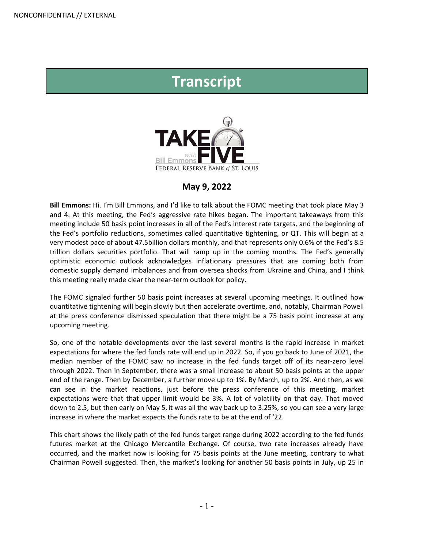## **Transcript**



## **May 9, 2022**

**Bill Emmons:** Hi. I'm Bill Emmons, and I'd like to talk about the FOMC meeting that took place May 3 and 4. At this meeting, the Fed's aggressive rate hikes began. The important takeaways from this meeting include 50 basis point increases in all of the Fed's interest rate targets, and the beginning of the Fed's portfolio reductions, sometimes called quantitative tightening, or QT. This will begin at a very modest pace of about 47.5billion dollars monthly, and that represents only 0.6% of the Fed's 8.5 trillion dollars securities portfolio. That will ramp up in the coming months. The Fed's generally optimistic economic outlook acknowledges inflationary pressures that are coming both from domestic supply demand imbalances and from oversea shocks from Ukraine and China, and I think this meeting really made clear the near-term outlook for policy.

The FOMC signaled further 50 basis point increases at several upcoming meetings. It outlined how quantitative tightening will begin slowly but then accelerate overtime, and, notably, Chairman Powell at the press conference dismissed speculation that there might be a 75 basis point increase at any upcoming meeting.

So, one of the notable developments over the last several months is the rapid increase in market expectations for where the fed funds rate will end up in 2022. So, if you go back to June of 2021, the median member of the FOMC saw no increase in the fed funds target off of its near-zero level through 2022. Then in September, there was a small increase to about 50 basis points at the upper end of the range. Then by December, a further move up to 1%. By March, up to 2%. And then, as we can see in the market reactions, just before the press conference of this meeting, market expectations were that that upper limit would be 3%. A lot of volatility on that day. That moved down to 2.5, but then early on May 5, it was all the way back up to 3.25%, so you can see a very large increase in where the market expects the funds rate to be at the end of '22.

This chart shows the likely path of the fed funds target range during 2022 according to the fed funds futures market at the Chicago Mercantile Exchange. Of course, two rate increases already have occurred, and the market now is looking for 75 basis points at the June meeting, contrary to what Chairman Powell suggested. Then, the market's looking for another 50 basis points in July, up 25 in